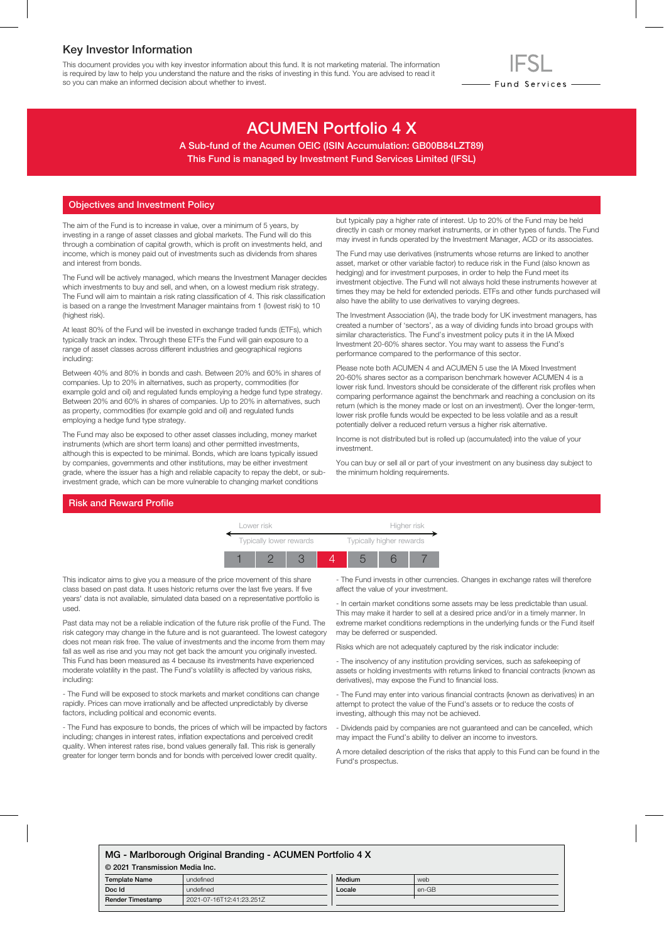## Key Investor Information

This document provides you with key investor information about this fund. It is not marketing material. The information is required by law to help you understand the nature and the risks of investing in this fund. You are advised to read it so you can make an informed decision about whether to invest.

# ACUMEN Portfolio 4 X

A Sub-fund of the Acumen OEIC (ISIN Accumulation: GB00B84LZT89) This Fund is managed by Investment Fund Services Limited (IFSL)

### Objectives and Investment Policy

The aim of the Fund is to increase in value, over a minimum of 5 years, by investing in a range of asset classes and global markets. The Fund will do this through a combination of capital growth, which is profit on investments held, and income, which is money paid out of investments such as dividends from shares and interest from bonds.

The Fund will be actively managed, which means the Investment Manager decides which investments to buy and sell, and when, on a lowest medium risk strategy. The Fund will aim to maintain a risk rating classification of 4. This risk classification is based on a range the Investment Manager maintains from 1 (lowest risk) to 10 (highest risk).

At least 80% of the Fund will be invested in exchange traded funds (ETFs), which typically track an index. Through these ETFs the Fund will gain exposure to a range of asset classes across different industries and geographical regions including:

Between 40% and 80% in bonds and cash. Between 20% and 60% in shares of companies. Up to 20% in alternatives, such as property, commodities (for example gold and oil) and regulated funds employing a hedge fund type strategy. Between 20% and 60% in shares of companies. Up to 20% in alternatives, such as property, commodities (for example gold and oil) and regulated funds employing a hedge fund type strategy.

The Fund may also be exposed to other asset classes including, money market instruments (which are short term loans) and other permitted investments, although this is expected to be minimal. Bonds, which are loans typically issued by companies, governments and other institutions, may be either investment grade, where the issuer has a high and reliable capacity to repay the debt, or subinvestment grade, which can be more vulnerable to changing market conditions

but typically pay a higher rate of interest. Up to 20% of the Fund may be held directly in cash or money market instruments, or in other types of funds. The Fund may invest in funds operated by the Investment Manager, ACD or its associates.

- Fund Services —

The Fund may use derivatives (instruments whose returns are linked to another asset, market or other variable factor) to reduce risk in the Fund (also known as hedging) and for investment purposes, in order to help the Fund meet its investment objective. The Fund will not always hold these instruments however at times they may be held for extended periods. ETFs and other funds purchased will also have the ability to use derivatives to varying degrees.

The Investment Association (IA), the trade body for UK investment managers, has created a number of 'sectors', as a way of dividing funds into broad groups with similar characteristics. The Fund's investment policy puts it in the IA Mixed Investment 20-60% shares sector. You may want to assess the Fund's performance compared to the performance of this sector.

Please note both ACUMEN 4 and ACUMEN 5 use the IA Mixed Investment 20-60% shares sector as a comparison benchmark however ACUMEN 4 is a lower risk fund. Investors should be considerate of the different risk profiles when comparing performance against the benchmark and reaching a conclusion on its return (which is the money made or lost on an investment). Over the longer-term, lower risk profile funds would be expected to be less volatile and as a result potentially deliver a reduced return versus a higher risk alternative.

Income is not distributed but is rolled up (accumulated) into the value of your investment.

You can buy or sell all or part of your investment on any business day subject to the minimum holding requirements.

#### Risk and Reward Profile

| Lower risk              |  |  |  | Higher risk              |  |  |
|-------------------------|--|--|--|--------------------------|--|--|
| Typically lower rewards |  |  |  | Typically higher rewards |  |  |
|                         |  |  |  |                          |  |  |

This indicator aims to give you a measure of the price movement of this share class based on past data. It uses historic returns over the last five years. If five years' data is not available, simulated data based on a representative portfolio is used.

Past data may not be a reliable indication of the future risk profile of the Fund. The risk category may change in the future and is not guaranteed. The lowest category does not mean risk free. The value of investments and the income from them may fall as well as rise and you may not get back the amount you originally invested. This Fund has been measured as 4 because its investments have experienced moderate volatility in the past. The Fund's volatility is affected by various risks, including:

- The Fund will be exposed to stock markets and market conditions can change rapidly. Prices can move irrationally and be affected unpredictably by diverse factors, including political and economic events.

- The Fund has exposure to bonds, the prices of which will be impacted by factors including; changes in interest rates, inflation expectations and perceived credit quality. When interest rates rise, bond values generally fall. This risk is generally greater for longer term bonds and for bonds with perceived lower credit quality.

- The Fund invests in other currencies. Changes in exchange rates will therefore affect the value of your investment.

- In certain market conditions some assets may be less predictable than usual. This may make it harder to sell at a desired price and/or in a timely manner. In extreme market conditions redemptions in the underlying funds or the Fund itself may be deferred or suspended.

Risks which are not adequately captured by the risk indicator include:

- The insolvency of any institution providing services, such as safekeeping of assets or holding investments with returns linked to financial contracts (known as derivatives), may expose the Fund to financial loss.

- The Fund may enter into various financial contracts (known as derivatives) in an attempt to protect the value of the Fund's assets or to reduce the costs of investing, although this may not be achieved.

- Dividends paid by companies are not guaranteed and can be cancelled, which may impact the Fund's ability to deliver an income to investors.

A more detailed description of the risks that apply to this Fund can be found in the Fund's prospectus.